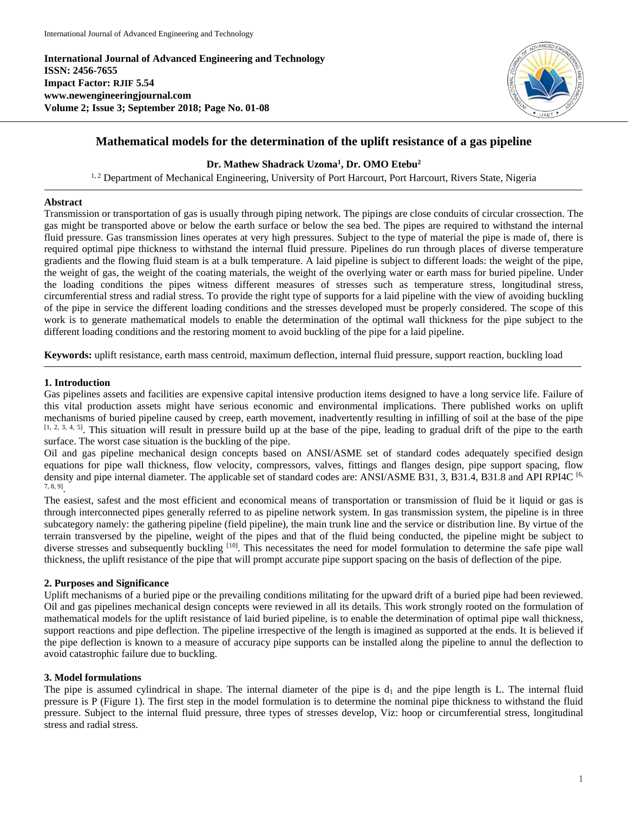**International Journal of Advanced Engineering and Technology ISSN: 2456-7655 Impact Factor: RJIF 5.54 www.newengineeringjournal.com Volume 2; Issue 3; September 2018; Page No. 01-08**



# **Mathematical models for the determination of the uplift resistance of a gas pipeline**

## **Dr. Mathew Shadrack Uzoma<sup>1</sup> , Dr. OMO Etebu<sup>2</sup>**

<sup>1, 2</sup> Department of Mechanical Engineering, University of Port Harcourt, Port Harcourt, Rivers State, Nigeria

#### **Abstract**

Transmission or transportation of gas is usually through piping network. The pipings are close conduits of circular crossection. The gas might be transported above or below the earth surface or below the sea bed. The pipes are required to withstand the internal fluid pressure. Gas transmission lines operates at very high pressures. Subject to the type of material the pipe is made of, there is required optimal pipe thickness to withstand the internal fluid pressure. Pipelines do run through places of diverse temperature gradients and the flowing fluid steam is at a bulk temperature. A laid pipeline is subject to different loads: the weight of the pipe, the weight of gas, the weight of the coating materials, the weight of the overlying water or earth mass for buried pipeline. Under the loading conditions the pipes witness different measures of stresses such as temperature stress, longitudinal stress, circumferential stress and radial stress. To provide the right type of supports for a laid pipeline with the view of avoiding buckling of the pipe in service the different loading conditions and the stresses developed must be properly considered. The scope of this work is to generate mathematical models to enable the determination of the optimal wall thickness for the pipe subject to the different loading conditions and the restoring moment to avoid buckling of the pipe for a laid pipeline.

**Keywords:** uplift resistance, earth mass centroid, maximum deflection, internal fluid pressure, support reaction, buckling load

# **1. Introduction**

Gas pipelines assets and facilities are expensive capital intensive production items designed to have a long service life. Failure of this vital production assets might have serious economic and environmental implications. There published works on uplift mechanisms of buried pipeline caused by creep, earth movement, inadvertently resulting in infilling of soil at the base of the pipe  $[1, 2, 3, 4, 5]$ . This situation will result in pressure build up at the base of the pipe, leading to gradual drift of the pipe to the earth surface. The worst case situation is the buckling of the pipe.

Oil and gas pipeline mechanical design concepts based on ANSI/ASME set of standard codes adequately specified design equations for pipe wall thickness, flow velocity, compressors, valves, fittings and flanges design, pipe support spacing, flow density and pipe internal diameter. The applicable set of standard codes are: ANSI/ASME B31, 3, B31.4, B31.8 and API RPI4C [6, 7, 8, 9] .

The easiest, safest and the most efficient and economical means of transportation or transmission of fluid be it liquid or gas is through interconnected pipes generally referred to as pipeline network system. In gas transmission system, the pipeline is in three subcategory namely: the gathering pipeline (field pipeline), the main trunk line and the service or distribution line. By virtue of the terrain transversed by the pipeline, weight of the pipes and that of the fluid being conducted, the pipeline might be subject to diverse stresses and subsequently buckling <sup>[10]</sup>. This necessitates the need for model formulation to determine the safe pipe wall thickness, the uplift resistance of the pipe that will prompt accurate pipe support spacing on the basis of deflection of the pipe.

# **2. Purposes and Significance**

Uplift mechanisms of a buried pipe or the prevailing conditions militating for the upward drift of a buried pipe had been reviewed. Oil and gas pipelines mechanical design concepts were reviewed in all its details. This work strongly rooted on the formulation of mathematical models for the uplift resistance of laid buried pipeline, is to enable the determination of optimal pipe wall thickness, support reactions and pipe deflection. The pipeline irrespective of the length is imagined as supported at the ends. It is believed if the pipe deflection is known to a measure of accuracy pipe supports can be installed along the pipeline to annul the deflection to avoid catastrophic failure due to buckling.

# **3. Model formulations**

The pipe is assumed cylindrical in shape. The internal diameter of the pipe is  $d_1$  and the pipe length is L. The internal fluid pressure is P (Figure 1). The first step in the model formulation is to determine the nominal pipe thickness to withstand the fluid pressure. Subject to the internal fluid pressure, three types of stresses develop, Viz: hoop or circumferential stress, longitudinal stress and radial stress.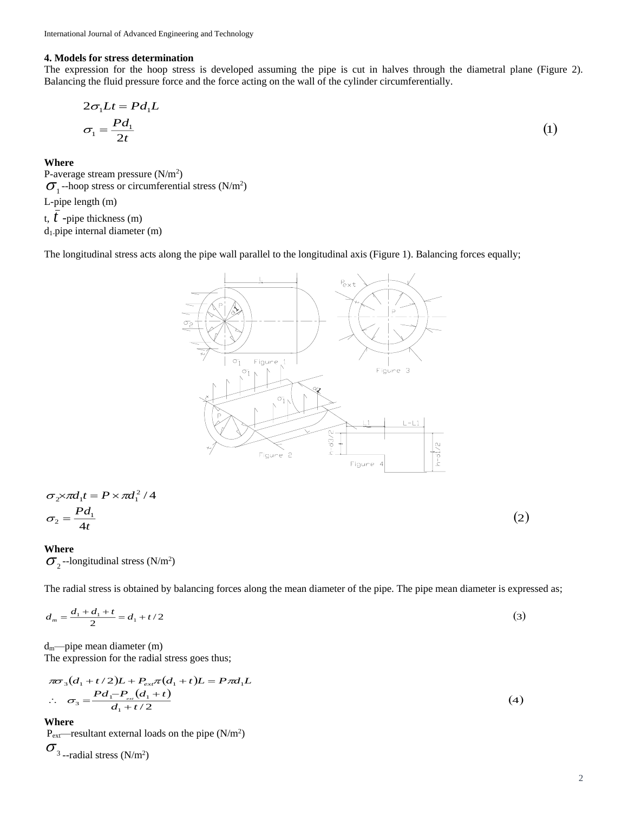#### **4. Models for stress determination**

The expression for the hoop stress is developed assuming the pipe is cut in halves through the diametral plane (Figure 2). Balancing the fluid pressure force and the force acting on the wall of the cylinder circumferentially.

$$
2\sigma_1 L t = P d_1 L
$$
  
\n
$$
\sigma_1 = \frac{P d_1}{2t}
$$
\n(1)

**Where**

P-average stream pressure  $(N/m^2)$  $\sigma_{1}$ -hoop stress or circumferential stress (N/m<sup>2</sup>)

L-pipe length (m)

t, *t* -pipe thickness (m)

d1-pipe internal diameter (m)

The longitudinal stress acts along the pipe wall parallel to the longitudinal axis (Figure 1). Balancing forces equally;



$$
\sigma_2 \times \pi d_1 t = P \times \pi d_1^2 / 4
$$
  
\n
$$
\sigma_2 = \frac{P d_1}{4t}
$$
\n(2)

# **Where**

 $\sigma_{2}$ --longitudinal stress (N/m<sup>2</sup>)

The radial stress is obtained by balancing forces along the mean diameter of the pipe. The pipe mean diameter is expressed as;

$$
d_m = \frac{d_1 + d_1 + t}{2} = d_1 + t/2 \tag{3}
$$

dm—pipe mean diameter (m) The expression for the radial stress goes thus;

$$
\pi \sigma_3 (d_1 + t/2)L + P_{ext} \pi (d_1 + t)L = P \pi d_1 L
$$
  
\n
$$
\therefore \quad \sigma_3 = \frac{P d_1 - P_{ext}(d_1 + t)}{d_1 + t/2}
$$
\n(4)

**Where**

 $P_{ext}$ —resultant external loads on the pipe (N/m<sup>2</sup>)  $\sigma_{\text{3--radial stress (N/m²)}}$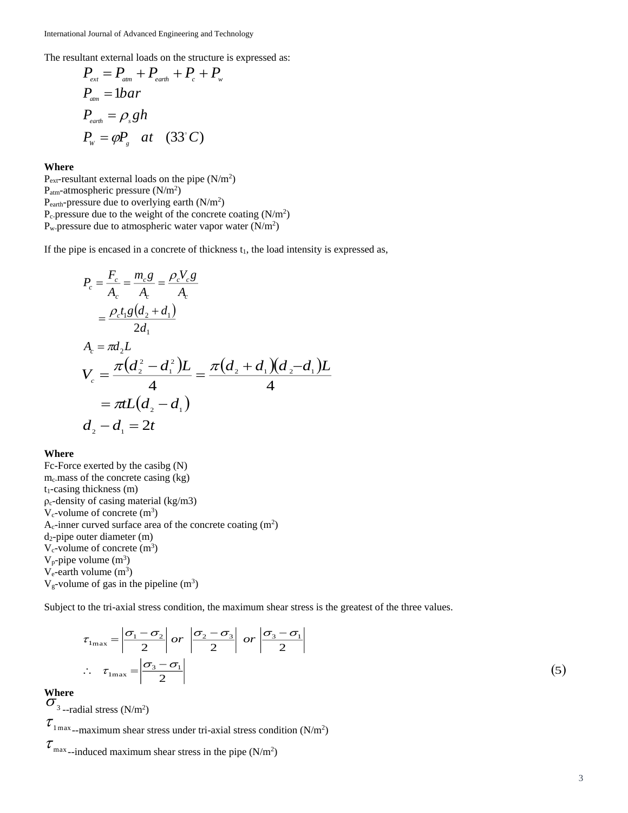The resultant external loads on the structure is expressed as:

$$
P_{ext} = P_{am} + P_{earth} + P_c + P_w
$$
  
\n
$$
P_{am} = 1bar
$$
  
\n
$$
P_{earth} = \rho_s gh
$$
  
\n
$$
P_w = \varphi P_g \quad at \quad (33^{\circ}C)
$$

#### **Where**

 $P_{ext}$ -resultant external loads on the pipe (N/m<sup>2</sup>)  $P_{\text{atm}}$ -atmospheric pressure (N/m<sup>2</sup>)  $P<sub>earth</sub>$ -pressure due to overlying earth (N/m<sup>2</sup>)  $P_c$ -pressure due to the weight of the concrete coating ( $N/m<sup>2</sup>$ )  $P_w$ -pressure due to atmospheric water vapor water ( $N/m^2$ )

If the pipe is encased in a concrete of thickness  $t_1$ , the load intensity is expressed as,

$$
P_c = \frac{F_c}{A_c} = \frac{m_c g}{A_c} = \frac{\rho_c V_c g}{A_c}
$$
  
\n
$$
= \frac{\rho_c t_1 g (d_2 + d_1)}{2d_1}
$$
  
\n
$$
A_c = \pi d_2 L
$$
  
\n
$$
V_c = \frac{\pi (d_2^2 - d_1^2) L}{4} = \frac{\pi (d_2 + d_1) (d_2 - d_1) L}{4}
$$
  
\n
$$
= \pi t L (d_2 - d_1)
$$
  
\n
$$
d_2 - d_1 = 2t
$$

### **Where**

Fc-Force exerted by the casibg (N)  $m<sub>c</sub>$  mass of the concrete casing (kg)  $t_1$ -casing thickness (m)  $\rho_c$ -density of casing material (kg/m3)  $V_c$ -volume of concrete  $(m^3)$  $A_c$ -inner curved surface area of the concrete coating  $(m^2)$ d2-pipe outer diameter (m)  $V_c$ -volume of concrete  $(m^3)$  $V_p$ -pipe volume  $(m^3)$  $V_e$ -earth volume  $(m^3)$  $V_g$ -volume of gas in the pipeline  $(m^3)$ 

Subject to the tri-axial stress condition, the maximum shear stress is the greatest of the three values.

$$
\tau_{1_{\max}} = \left| \frac{\sigma_1 - \sigma_2}{2} \right| \text{ or } \left| \frac{\sigma_2 - \sigma_3}{2} \right| \text{ or } \left| \frac{\sigma_3 - \sigma_1}{2} \right|
$$
\n
$$
\therefore \quad \tau_{1_{\max}} = \left| \frac{\sigma_3 - \sigma_1}{2} \right| \tag{5}
$$

 $\sigma_{\text{3--radial stress (N/m²)}}$ 

**Where**

 $\tau_{1\text{max}}$ -maximum shear stress under tri-axial stress condition (N/m<sup>2</sup>)

 $\tau_{\text{max}}$ -induced maximum shear stress in the pipe (N/m<sup>2</sup>)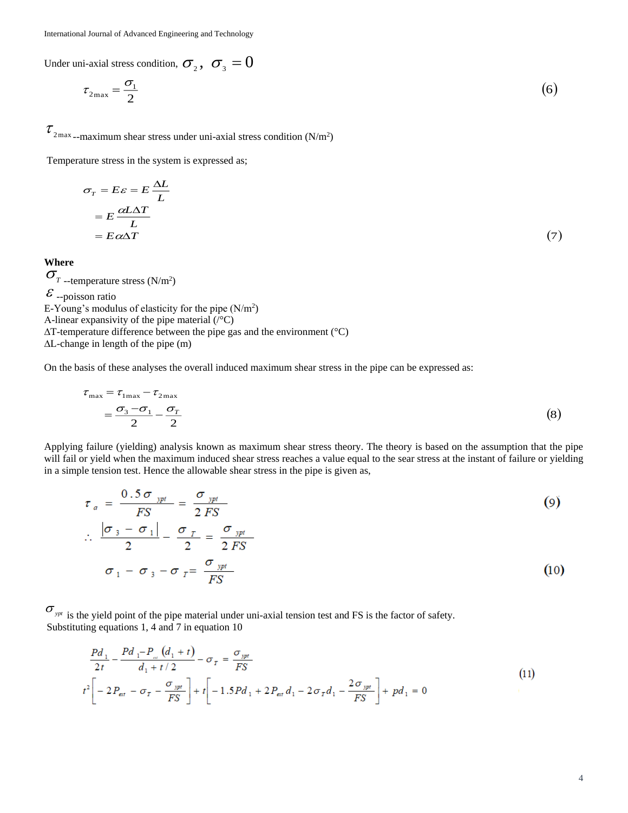Under uni-axial stress condition,  $\sigma_{_2},\ \sigma_{_3}=0$ 

$$
\tau_{2\max} = \frac{\sigma_1}{2} \tag{6}
$$

 $\tau_{2\text{max}}$ -maximum shear stress under uni-axial stress condition (N/m<sup>2</sup>)

Temperature stress in the system is expressed as;

$$
\sigma_T = E \varepsilon = E \frac{\Delta L}{L}
$$
  
=  $E \frac{\alpha L \Delta T}{L}$   
=  $E \alpha \Delta T$  (7)

#### **Where**

 $\sigma_{\rm r}$ <sub>--temperature stress (N/m<sup>2</sup>)</sub>  $\mathcal{E}_{\text{-poisson ratio}}$ E-Young's modulus of elasticity for the pipe  $(N/m^2)$ Α-linear expansivity of the pipe material (/°C) ∆T-temperature difference between the pipe gas and the environment (°C) ∆L-change in length of the pipe (m)

On the basis of these analyses the overall induced maximum shear stress in the pipe can be expressed as:

$$
\tau_{\text{max}} = \tau_{1\text{max}} - \tau_{2\text{max}}
$$
  
= 
$$
\frac{\sigma_3 - \sigma_1}{2} - \frac{\sigma_T}{2}
$$
 (8)

Applying failure (yielding) analysis known as maximum shear stress theory. The theory is based on the assumption that the pipe will fail or yield when the maximum induced shear stress reaches a value equal to the sear stress at the instant of failure or yielding in a simple tension test. Hence the allowable shear stress in the pipe is given as,

$$
\tau_a = \frac{0.5 \sigma_{ypt}}{FS} = \frac{\sigma_{ypt}}{2 FS}
$$
  
\n
$$
\therefore \frac{|\sigma_3 - \sigma_1|}{2} - \frac{\sigma_{r}}{2} = \frac{\sigma_{ypt}}{2 FS}
$$
  
\n
$$
\sigma_1 - \sigma_3 - \sigma_{r} = \frac{\sigma_{ypt}}{FS}
$$
\n(10)

 $\sigma_{\text{opt}}$  is the yield point of the pipe material under uni-axial tension test and FS is the factor of safety. Substituting equations 1, 4 and 7 in equation 10

$$
\frac{Pd_1}{2t} - \frac{Pd_1 - P_{eq}}{d_1 + t/2} \left(1 + \frac{\sigma_{ypt}}{FS}\right) - \sigma_T = \frac{\sigma_{ypt}}{FS}
$$
\n
$$
t^2 \left[ -2P_{ext} - \sigma_T - \frac{\sigma_{ypt}}{FS} \right] + t \left[ -1.5Pd_1 + 2P_{ext}d_1 - 2\sigma_T d_1 - \frac{2\sigma_{ypt}}{FS} \right] + pd_1 = 0
$$
\n(11)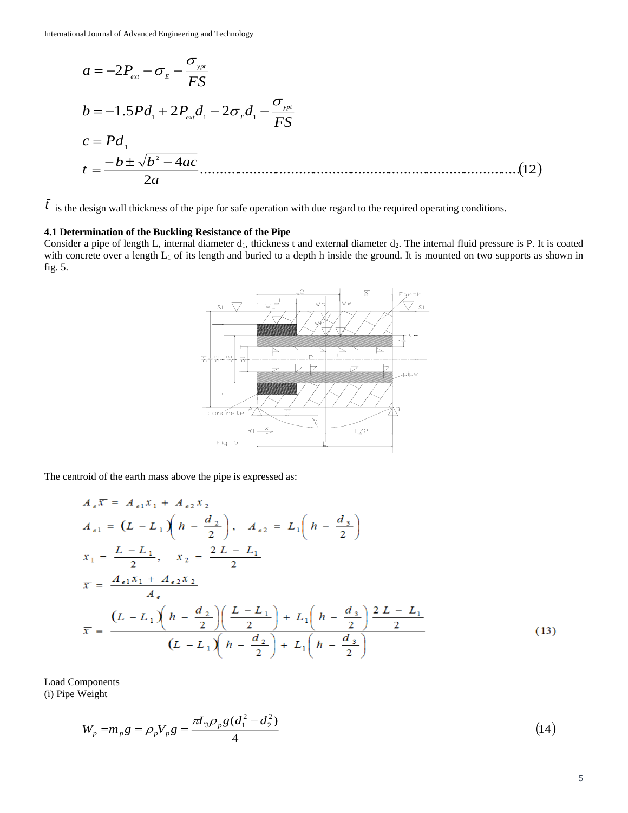$$
a = -2P_{ext} - \sigma_E - \frac{\sigma_{opt}}{FS}
$$
  
\n
$$
b = -1.5Pd_1 + 2P_{ext}d_1 - 2\sigma_{\tau}d_1 - \frac{\sigma_{opt}}{FS}
$$
  
\n
$$
c = Pd_1
$$
  
\n
$$
\bar{t} = \frac{-b \pm \sqrt{b^2 - 4ac}}{2a} \dots \qquad (12)
$$

*t* is the design wall thickness of the pipe for safe operation with due regard to the required operating conditions.

# **4.1 Determination of the Buckling Resistance of the Pipe**

Consider a pipe of length L, internal diameter  $d_1$ , thickness t and external diameter  $d_2$ . The internal fluid pressure is P. It is coated with concrete over a length  $L_1$  of its length and buried to a depth h inside the ground. It is mounted on two supports as shown in fig. 5.



The centroid of the earth mass above the pipe is expressed as:

$$
A_{e} \overline{x} = A_{e1} x_1 + A_{e2} x_2
$$
  
\n
$$
A_{e1} = (L - L_1) \left( h - \frac{d_2}{2} \right), \quad A_{e2} = L_1 \left( h - \frac{d_3}{2} \right)
$$
  
\n
$$
x_1 = \frac{L - L_1}{2}, \quad x_2 = \frac{2L - L_1}{2}
$$
  
\n
$$
\overline{x} = \frac{A_{e1} x_1 + A_{e2} x_2}{A_e}
$$
  
\n
$$
\overline{x} = \frac{(L - L_1) \left( h - \frac{d_2}{2} \right) \left( \frac{L - L_1}{2} \right) + L_1 \left( h - \frac{d_3}{2} \right) \frac{2L - L_1}{2}}{(L - L_1) \left( h - \frac{d_2}{2} \right) + L_1 \left( h - \frac{d_3}{2} \right)}
$$
  
\n
$$
(L - L_1) \left( h - \frac{d_2}{2} \right) + L_1 \left( h - \frac{d_3}{2} \right)
$$
  
\n
$$
(13)
$$

Load Components (i) Pipe Weight

$$
W_p = m_p g = \rho_p V_p g = \frac{\pi L_3 \rho_p g (d_1^2 - d_2^2)}{4}
$$
\n(14)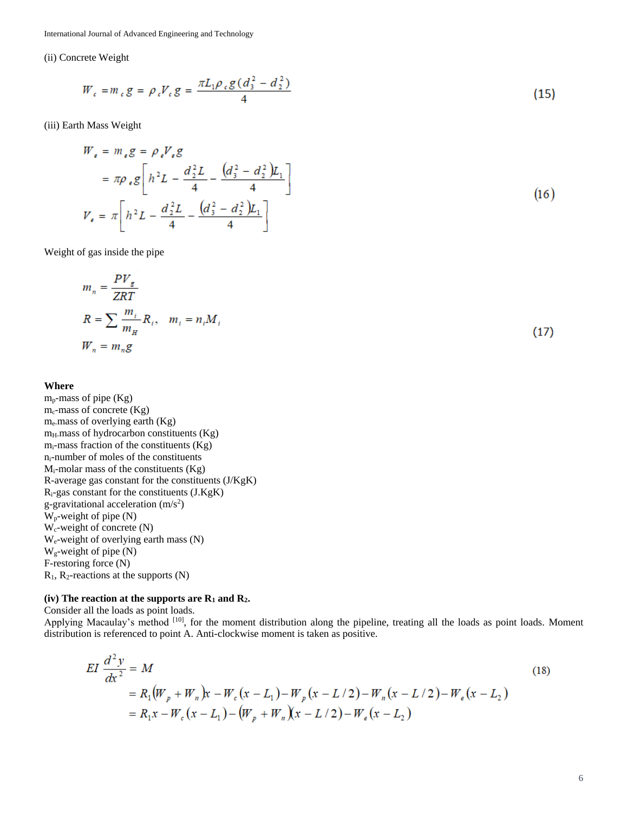(ii) Concrete Weight

$$
W_c = m_c g = \rho_c V_c g = \frac{\pi L_1 \rho_c g (d_3^2 - d_2^2)}{4}
$$
 (15)

(iii) Earth Mass Weight

$$
W_e = m_e g = \rho_e V_e g
$$
  
=  $\pi \rho_e g \left[ h^2 L - \frac{d_2^2 L}{4} - \frac{(d_3^2 - d_2^2) L_1}{4} \right]$   

$$
V_e = \pi \left[ h^2 L - \frac{d_2^2 L}{4} - \frac{(d_3^2 - d_2^2) L_1}{4} \right]
$$
 (16)

Weight of gas inside the pipe

 $n_{\text{H}}$ 

$$
m_n = \frac{PV_g}{ZRT}
$$
  
\n
$$
R = \sum \frac{m_i}{m_H} R_i, \quad m_i = n_i M_i
$$
  
\n
$$
W_n = m_n g
$$
\n(17)

#### **Where**

mp-mass of pipe (Kg)  $m_c$ -mass of concrete (Kg) me-mass of overlying earth (Kg)  $m<sub>H</sub>$ -mass of hydrocarbon constituents (Kg)  $m_i$ -mass fraction of the constituents  $(Kg)$ ni-number of moles of the constituents  $M_i$ -molar mass of the constituents  $(Kg)$ R-average gas constant for the constituents (J/KgK)  $R_i$ -gas constant for the constituents  $(J.KgK)$ g-gravitational acceleration  $(m/s<sup>2</sup>)$  $W_p$ -weight of pipe  $(N)$  $W_c$ -weight of concrete  $(N)$ We-weight of overlying earth mass (N)  $W_g$ -weight of pipe  $(N)$ F-restoring force (N)  $R_1$ ,  $R_2$ -reactions at the supports  $(N)$ 

## **(iv) The reaction at the supports are R<sup>1</sup> and R2.**

Consider all the loads as point loads.

Applying Macaulay's method [10], for the moment distribution along the pipeline, treating all the loads as point loads. Moment distribution is referenced to point A. Anti-clockwise moment is taken as positive.

$$
EI \frac{d^2 y}{dx^2} = M
$$
\n
$$
= R_1 (W_p + W_n)x - W_c (x - L_1) - W_p (x - L/2) - W_n (x - L/2) - W_e (x - L_2)
$$
\n
$$
= R_1 x - W_c (x - L_1) - (W_p + W_n)(x - L/2) - W_e (x - L_2)
$$
\n(18)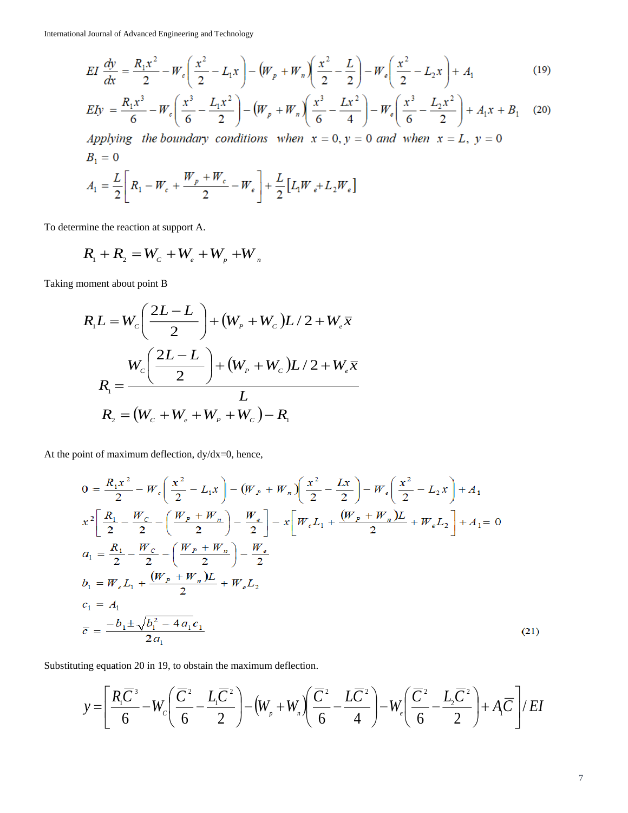$$
EI\frac{dy}{dx} = \frac{R_1x^2}{2} - W_c\left(\frac{x^2}{2} - L_1x\right) - \left(W_p + W_n\right)\left(\frac{x^2}{2} - \frac{L}{2}\right) - W_e\left(\frac{x^2}{2} - L_2x\right) + A_1\tag{19}
$$

$$
EIy = \frac{R_1x^3}{6} - W_c\left(\frac{x^3}{6} - \frac{L_1x^2}{2}\right) - \left(W_p + W_n\left(\frac{x^3}{6} - \frac{Lx^2}{4}\right) - W_e\left(\frac{x^3}{6} - \frac{L_2x^2}{2}\right) + A_1x + B_1 \tag{20}
$$

Applying the boundary conditions when  $x = 0$ ,  $y = 0$  and when  $x = L$ ,  $y = 0$  $B_1=0$  $\mathbf{r}$   $\Gamma$  $\overline{u}$  $\overline{u}$  $\mathbf{L}$  $\mathbf{r}$ 

$$
A_1 = \frac{L}{2} \left[ R_1 - W_c + \frac{W_p + W_c}{2} - W_e \right] + \frac{L}{2} \left[ L_1 W_e + L_2 W_e \right]
$$

To determine the reaction at support A.

$$
R_{1} + R_{2} = W_{c} + W_{e} + W_{p} + W_{n}
$$

Taking moment about point B

$$
R_{1}L = W_{c}\left(\frac{2L-L}{2}\right) + (W_{P} + W_{C})L/2 + W_{e}\overline{x}
$$

$$
R_{1} = \frac{W_{c}\left(\frac{2L-L}{2}\right) + (W_{P} + W_{C})L/2 + W_{e}\overline{x}}{L}
$$

$$
R_{2} = (W_{C} + W_{e} + W_{P} + W_{C}) - R_{1}
$$

At the point of maximum deflection, dy/dx=0, hence,

$$
0 = \frac{R_1 x^2}{2} - W_c \left( \frac{x^2}{2} - L_1 x \right) - (W_p + W_n) \left( \frac{x^2}{2} - \frac{Lx}{2} \right) - W_e \left( \frac{x^2}{2} - L_2 x \right) + A_1
$$
  
\n
$$
x^2 \left[ \frac{R_1}{2} - \frac{W_C}{2} - \left( \frac{W_p + W_n}{2} \right) - \frac{W_e}{2} \right] - x \left[ W_c L_1 + \frac{(W_p + W_n)L}{2} + W_e L_2 \right] + A_1 = 0
$$
  
\n
$$
a_1 = \frac{R_1}{2} - \frac{W_C}{2} - \left( \frac{W_p + W_n}{2} \right) - \frac{W_e}{2}
$$
  
\n
$$
b_1 = W_c L_1 + \frac{(W_p + W_n)L}{2} + W_e L_2
$$
  
\n
$$
c_1 = A_1
$$
  
\n
$$
\overline{c} = \frac{-b_1 \pm \sqrt{b_1^2 - 4a_1} c_1}{2a_1}
$$
\n(21)

Substituting equation 20 in 19, to obstain the maximum deflection.

$$
y = \left[\frac{R_1\overline{C}^3}{6} - W_c\left(\frac{\overline{C}^2}{6} - \frac{L_1\overline{C}^2}{2}\right) - \left(W_p + W_n\left(\frac{\overline{C}^2}{6} - \frac{L\overline{C}^2}{4}\right) - W_e\left(\frac{\overline{C}^2}{6} - \frac{L_2\overline{C}^2}{2}\right) + A_1\overline{C}\right] / EI
$$